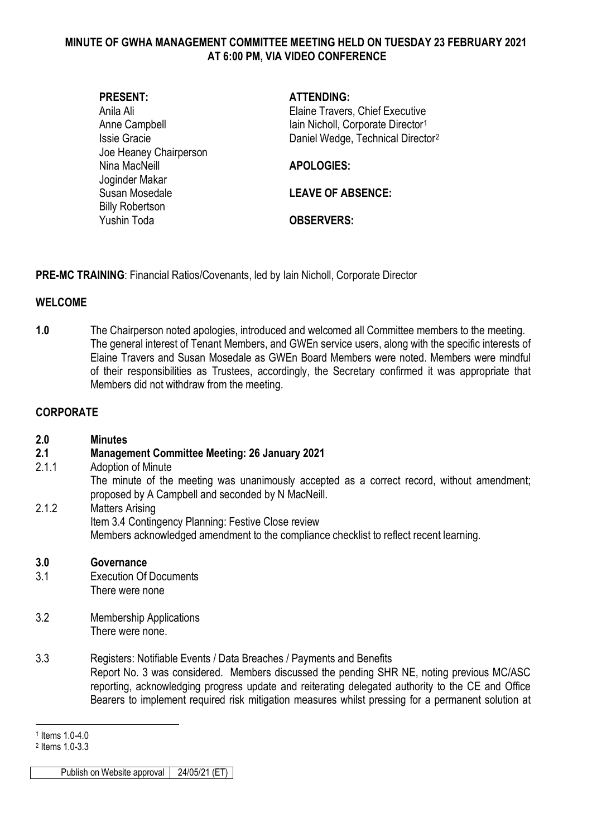### **MINUTE OF GWHA MANAGEMENT COMMITTEE MEETING HELD ON TUESDAY 23 FEBRUARY 2021 AT 6:00 PM, VIA VIDEO CONFERENCE**

| <b>PRESENT:</b>        | <b>ATTENDING:</b>                             |
|------------------------|-----------------------------------------------|
| Anila Ali              | Elaine Travers, Chief Executive               |
| Anne Campbell          | lain Nicholl, Corporate Director <sup>1</sup> |
| <b>Issie Gracie</b>    | Daniel Wedge, Technical Director <sup>2</sup> |
| Joe Heaney Chairperson |                                               |
| Nina MacNeill          | <b>APOLOGIES:</b>                             |
| Joginder Makar         |                                               |
| Susan Mosedale         | <b>LEAVE OF ABSENCE:</b>                      |
| <b>Billy Robertson</b> |                                               |
| Yushin Toda            | <b>OBSERVERS:</b>                             |
|                        |                                               |

**PRE-MC TRAINING**: Financial Ratios/Covenants, led by Iain Nicholl, Corporate Director

# **WELCOME**

**1.0** The Chairperson noted apologies, introduced and welcomed all Committee members to the meeting. The general interest of Tenant Members, and GWEn service users, along with the specific interests of Elaine Travers and Susan Mosedale as GWEn Board Members were noted. Members were mindful of their responsibilities as Trustees, accordingly, the Secretary confirmed it was appropriate that Members did not withdraw from the meeting.

# **CORPORATE**

## **2.0 Minutes**

## **2.1 Management Committee Meeting: 26 January 2021**

- 2.1.1 Adoption of Minute The minute of the meeting was unanimously accepted as a correct record, without amendment; proposed by A Campbell and seconded by N MacNeill.
- 2.1.2 Matters Arising Item 3.4 Contingency Planning: Festive Close review Members acknowledged amendment to the compliance checklist to reflect recent learning.

## **3.0 Governance**

- 3.1 Execution Of Documents There were none
- 3.2 Membership Applications There were none.
- 3.3 Registers: Notifiable Events / Data Breaches / Payments and Benefits Report No. 3 was considered. Members discussed the pending SHR NE, noting previous MC/ASC reporting, acknowledging progress update and reiterating delegated authority to the CE and Office Bearers to implement required risk mitigation measures whilst pressing for a permanent solution at

<sup>-</sup><sup>1</sup> Items 1.0-4.0

<span id="page-0-1"></span><span id="page-0-0"></span><sup>2</sup> Items 1.0-3.3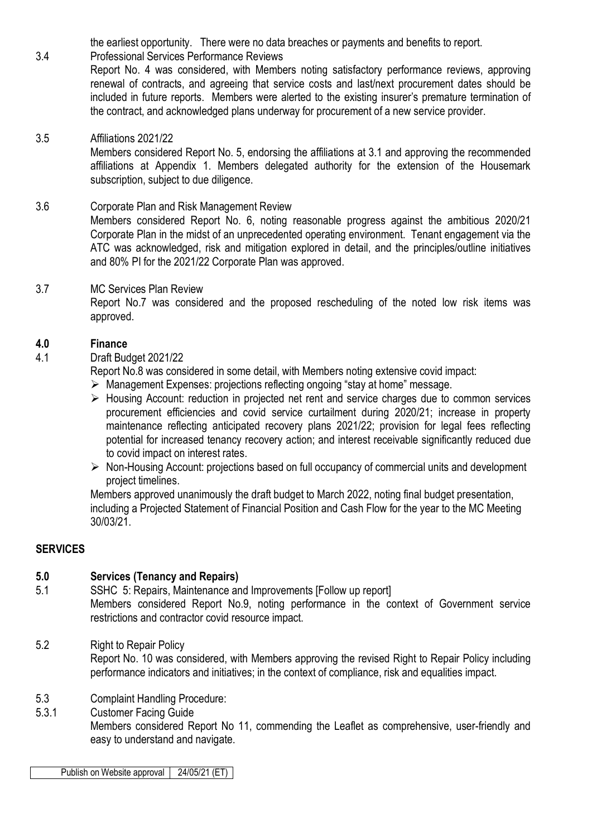the earliest opportunity. There were no data breaches or payments and benefits to report.

# 3.4 Professional Services Performance Reviews

Report No. 4 was considered, with Members noting satisfactory performance reviews, approving renewal of contracts, and agreeing that service costs and last/next procurement dates should be included in future reports. Members were alerted to the existing insurer's premature termination of the contract, and acknowledged plans underway for procurement of a new service provider.

## 3.5 Affiliations 2021/22

Members considered Report No. 5, endorsing the affiliations at 3.1 and approving the recommended affiliations at Appendix 1. Members delegated authority for the extension of the Housemark subscription, subject to due diligence.

# 3.6 Corporate Plan and Risk Management Review

Members considered Report No. 6, noting reasonable progress against the ambitious 2020/21 Corporate Plan in the midst of an unprecedented operating environment. Tenant engagement via the ATC was acknowledged, risk and mitigation explored in detail, and the principles/outline initiatives and 80% PI for the 2021/22 Corporate Plan was approved.

#### 3.7 MC Services Plan Review

Report No.7 was considered and the proposed rescheduling of the noted low risk items was approved.

#### **4.0 Finance**

#### 4.1 Draft Budget 2021/22

Report No.8 was considered in some detail, with Members noting extensive covid impact:

- Management Expenses: projections reflecting ongoing "stay at home" message.
- $\triangleright$  Housing Account: reduction in projected net rent and service charges due to common services procurement efficiencies and covid service curtailment during 2020/21; increase in property maintenance reflecting anticipated recovery plans 2021/22; provision for legal fees reflecting potential for increased tenancy recovery action; and interest receivable significantly reduced due to covid impact on interest rates.
- $\triangleright$  Non-Housing Account: projections based on full occupancy of commercial units and development project timelines.

Members approved unanimously the draft budget to March 2022, noting final budget presentation, including a Projected Statement of Financial Position and Cash Flow for the year to the MC Meeting 30/03/21.

## **SERVICES**

## **5.0 Services (Tenancy and Repairs)**

5.1 SSHC 5: Repairs, Maintenance and Improvements [Follow up report] Members considered Report No.9, noting performance in the context of Government service restrictions and contractor covid resource impact.

- 5.2 Right to Repair Policy Report No. 10 was considered, with Members approving the revised Right to Repair Policy including performance indicators and initiatives; in the context of compliance, risk and equalities impact.
- 5.3 Complaint Handling Procedure:
- 5.3.1 Customer Facing Guide

Members considered Report No 11, commending the Leaflet as comprehensive, user-friendly and easy to understand and navigate.

Publish on Website approval | 24/05/21 (ET)